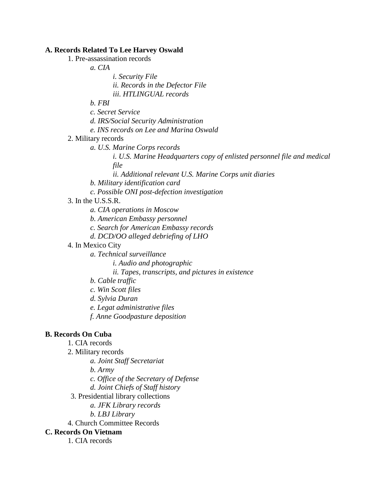#### **A. Records Related To Lee Harvey Oswald**

1. Pre-assassination records

- *a. CIA*
	- *i. Security File*
	- *ii. Records in the Defector File*
	- *iii. HTLINGUAL records*

*b. FBI*

- *c. Secret Service*
- *d. IRS/Social Security Administration*
- *e. INS records on Lee and Marina Oswald*

#### 2. Military records

- *a. U.S. Marine Corps records*
	- *i. U.S. Marine Headquarters copy of enlisted personnel file and medical file*
	- *ii. Additional relevant U.S. Marine Corps unit diaries*
- *b. Military identification card*
- *c. Possible ONI post-defection investigation*

## 3. In the U.S.S.R.

- *a. CIA operations in Moscow*
- *b. American Embassy personnel*
- *c. Search for American Embassy records*
- *d. DCD/OO alleged debriefing of LHO*
- 4. In Mexico City
	- *a. Technical surveillance*
		- *i. Audio and photographic*
		- *ii. Tapes, transcripts, and pictures in existence*
	- *b. Cable traffic*
	- *c. Win Scott files*
	- *d. Sylvia Duran*
	- *e. Legat administrative files*
	- *f. Anne Goodpasture deposition*

# **B. Records On Cuba**

- 1. CIA records
- 2. Military records
	- *a. Joint Staff Secretariat*
	- *b. Army*
	- *c. Office of the Secretary of Defense*
	- *d. Joint Chiefs of Staff history*
- 3. Presidential library collections
	- *a. JFK Library records*
	- *b. LBJ Library*
- 4. Church Committee Records

# **C. Records On Vietnam**

1. CIA records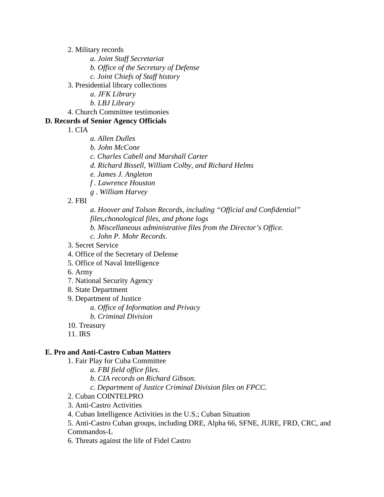2. Military records

- *a. Joint Staff Secretariat*
- *b. Office of the Secretary of Defense*
- *c. Joint Chiefs of Staff history*
- 3. Presidential library collections
	- *a. JFK Library*
	- *b. LBJ Library*
- 4. Church Committee testimonies

# **D. Records of Senior Agency Officials**

1. CIA

- *a. Allen Dulles*
- *b. John McCone*
- *c. Charles Cabell and Marshall Carter*
- *d. Richard Bissell, William Colby, and Richard Helms*
- *e. James J. Angleton*
- *f . Lawrence Houston*
- *g . William Harvey*

#### 2. FBI

*a. Hoover and Tolson Records, including "Official and Confidential" files,chonological files, and phone logs*

- *b. Miscellaneous administrative files from the Director's Office.*
- *c. John P. Mohr Records*.
- 3. Secret Service
- 4. Office of the Secretary of Defense
- 5. Office of Naval Intelligence
- 6. Army
- 7. National Security Agency
- 8. State Department
- 9. Department of Justice
	- *a. Office of Information and Privacy*
	- *b. Criminal Division*
- 10. Treasury
- 11. IRS

#### **E. Pro and Anti-Castro Cuban Matters**

- 1. Fair Play for Cuba Committee
	- *a. FBI field office files*.
		- *b. CIA records on Richard Gibson*.
		- *c. Department of Justice Criminal Division files on FPCC.*
- 2. Cuban COINTELPRO
- 3. Anti-Castro Activities
- 4. Cuban Intelligence Activities in the U.S.; Cuban Situation
- 5. Anti-Castro Cuban groups, including DRE, Alpha 66, SFNE, JURE, FRD, CRC, and Commandos-L
- 6. Threats against the life of Fidel Castro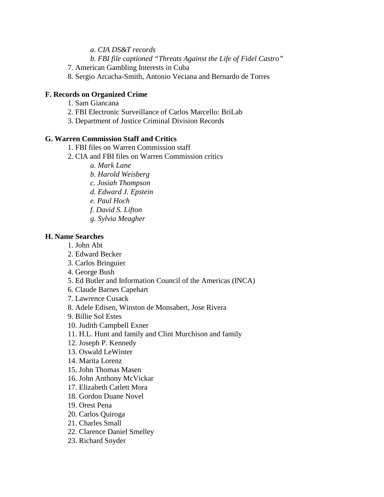- *a. CIA DS&T records*
- *b. FBI file captioned "Threats Against the Life of Fidel Castro"*
- 7. American Gambling Interests in Cuba
- 8. Sergio Arcacha-Smith, Antonio Veciana and Bernardo de Torres

## **F. Records on Organized Crime**

- 1. Sam Giancana
- 2. FBI Electronic Surveillance of Carlos Marcello: BriLab
- 3. Department of Justice Criminal Division Records

# **G. Warren Commission Staff and Critics**

- 1. FBI files on Warren Commission staff
- 2. CIA and FBI files on Warren Commission critics
	- *a. Mark Lane*
	- *b. Harold Weisberg*
	- *c. Josiah Thompson*
	- *d. Edward J. Epstein*
	- *e. Paul Hoch*
	- *f. David S. Lifton*
	- *g. Sylvia Meagher*

## **H. Name Searches**

- 1. John Abt
- 2. Edward Becker
- 3. Carlos Bringuier
- 4. George Bush
- 5. Ed Butler and Information Council of the Americas (INCA)
- 6. Claude Barnes Capehart
- 7. Lawrence Cusack
- 8. Adele Edisen, Winston de Monsabert, Jose Rivera
- 9. Billie Sol Estes
- 10. Judith Campbell Exner
- 11. H.L. Hunt and family and Clint Murchison and family
- 12. Joseph P. Kennedy
- 13. Oswald LeWinter
- 14. Marita Lorenz
- 15. John Thomas Masen
- 16. John Anthony McVickar
- 17. Elizabeth Catlett Mora
- 18. Gordon Duane Novel
- 19. Orest Pena
- 20. Carlos Quiroga
- 21. Charles Small
- 22. Clarence Daniel Smelley
- 23. Richard Snyder